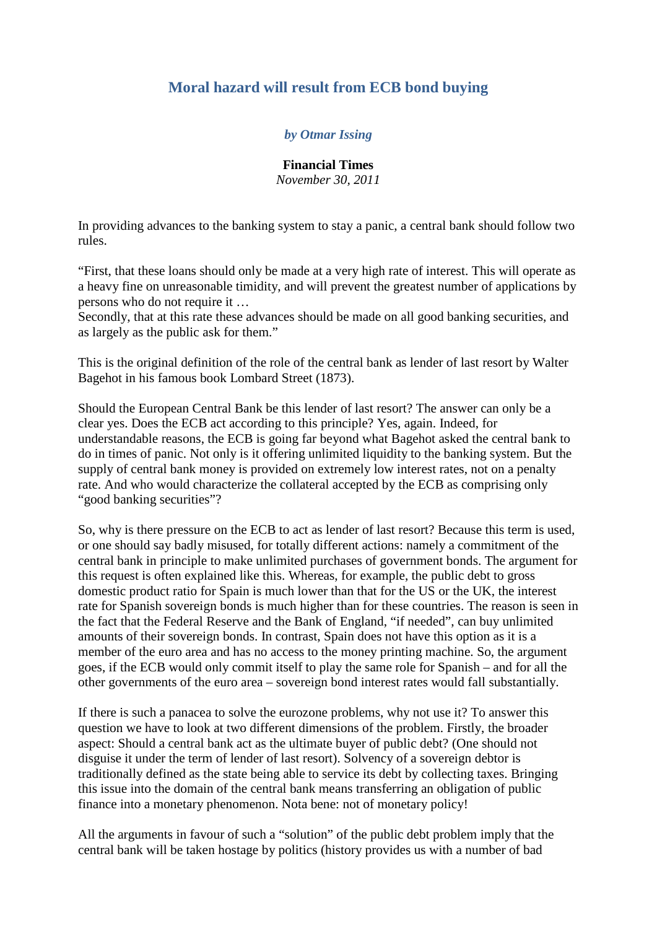## **Moral hazard will result from ECB bond buying**

## *by Otmar Issing*

**Financial Times**

*November 30, 2011*

In providing advances to the banking system to stay a panic, a central bank should follow two rules.

"First, that these loans should only be made at a very high rate of interest. This will operate as a heavy fine on unreasonable timidity, and will prevent the greatest number of applications by persons who do not require it …

Secondly, that at this rate these advances should be made on all good banking securities, and as largely as the public ask for them."

This is the original definition of the role of the central bank as lender of last resort by Walter Bagehot in his famous book Lombard Street (1873).

Should the European Central Bank be this lender of last resort? The answer can only be a clear yes. Does the ECB act according to this principle? Yes, again. Indeed, for understandable reasons, the ECB is going far beyond what Bagehot asked the central bank to do in times of panic. Not only is it offering unlimited liquidity to the banking system. But the supply of central bank money is provided on extremely low interest rates, not on a penalty rate. And who would characterize the collateral accepted by the ECB as comprising only "good banking securities"?

So, why is there pressure on the ECB to act as lender of last resort? Because this term is used, or one should say badly misused, for totally different actions: namely a commitment of the central bank in principle to make unlimited purchases of government bonds. The argument for this request is often explained like this. Whereas, for example, the public debt to gross domestic product ratio for Spain is much lower than that for the US or the UK, the interest rate for Spanish sovereign bonds is much higher than for these countries. The reason is seen in the fact that the Federal Reserve and the Bank of England, "if needed", can buy unlimited amounts of their sovereign bonds. In contrast, Spain does not have this option as it is a member of the euro area and has no access to the money printing machine. So, the argument goes, if the ECB would only commit itself to play the same role for Spanish – and for all the other governments of the euro area – sovereign bond interest rates would fall substantially.

If there is such a panacea to solve the eurozone problems, why not use it? To answer this question we have to look at two different dimensions of the problem. Firstly, the broader aspect: Should a central bank act as the ultimate buyer of public debt? (One should not disguise it under the term of lender of last resort). Solvency of a sovereign debtor is traditionally defined as the state being able to service its debt by collecting taxes. Bringing this issue into the domain of the central bank means transferring an obligation of public finance into a monetary phenomenon. Nota bene: not of monetary policy!

All the arguments in favour of such a "solution" of the public debt problem imply that the central bank will be taken hostage by politics (history provides us with a number of bad